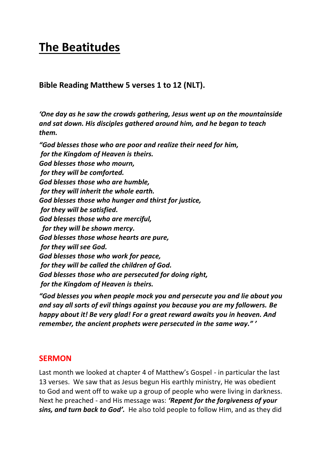## **The Beatitudes**

**Bible Reading Matthew 5 verses 1 to 12 (NLT).**

*'One day as he saw the crowds gathering, Jesus went up on the mountainside and sat down. His disciples gathered around him, and he began to teach them.*

*"God blesses those who are poor and realize their need for him, for the Kingdom of Heaven is theirs. God blesses those who mourn, for they will be comforted. God blesses those who are humble, for they will inherit the whole earth. God blesses those who hunger and thirst for justice, for they will be satisfied. God blesses those who are merciful, for they will be shown mercy. God blesses those whose hearts are pure, for they will see God. God blesses those who work for peace, for they will be called the children of God. God blesses those who are persecuted for doing right, for the Kingdom of Heaven is theirs.*

*"God blesses you when people mock you and persecute you and lie about you and say all sorts of evil things against you because you are my followers. Be happy about it! Be very glad! For a great reward awaits you in heaven. And remember, the ancient prophets were persecuted in the same way." '*

## **SERMON**

Last month we looked at chapter 4 of Matthew's Gospel - in particular the last 13 verses. We saw that as Jesus begun His earthly ministry, He was obedient to God and went off to wake up a group of people who were living in darkness. Next he preached - and His message was: *'Repent for the forgiveness of your sins, and turn back to God'.* He also told people to follow Him, and as they did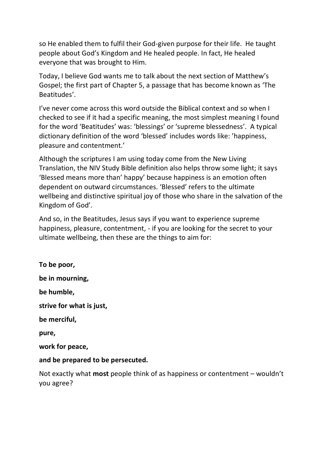so He enabled them to fulfil their God-given purpose for their life. He taught people about God's Kingdom and He healed people. In fact, He healed everyone that was brought to Him.

Today, I believe God wants me to talk about the next section of Matthew's Gospel; the first part of Chapter 5, a passage that has become known as 'The Beatitudes'.

I've never come across this word outside the Biblical context and so when I checked to see if it had a specific meaning, the most simplest meaning I found for the word 'Beatitudes' was: 'blessings' or 'supreme blessedness'. A typical dictionary definition of the word 'blessed' includes words like: 'happiness, pleasure and contentment.'

Although the scriptures I am using today come from the New Living Translation, the NIV Study Bible definition also helps throw some light; it says 'Blessed means more than' happy' because happiness is an emotion often dependent on outward circumstances. 'Blessed' refers to the ultimate wellbeing and distinctive spiritual joy of those who share in the salvation of the Kingdom of God'.

And so, in the Beatitudes, Jesus says if you want to experience supreme happiness, pleasure, contentment, - if you are looking for the secret to your ultimate wellbeing, then these are the things to aim for:

**To be poor, be in mourning, be humble, strive for what is just, be merciful, pure, work for peace, and be prepared to be persecuted.** Not exactly what **most** people think of as happiness or contentment – wouldn't you agree?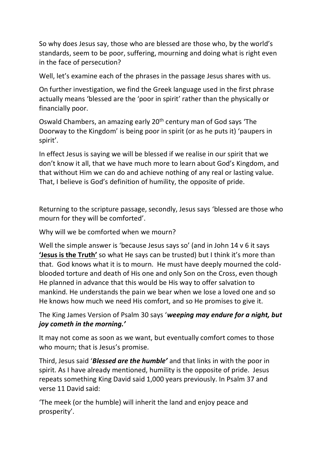So why does Jesus say, those who are blessed are those who, by the world's standards, seem to be poor, suffering, mourning and doing what is right even in the face of persecution?

Well, let's examine each of the phrases in the passage Jesus shares with us.

On further investigation, we find the Greek language used in the first phrase actually means 'blessed are the 'poor in spirit' rather than the physically or financially poor.

Oswald Chambers, an amazing early 20th century man of God says 'The Doorway to the Kingdom' is being poor in spirit (or as he puts it) 'paupers in spirit'.

In effect Jesus is saying we will be blessed if we realise in our spirit that we don't know it all, that we have much more to learn about God's Kingdom, and that without Him we can do and achieve nothing of any real or lasting value. That, I believe is God's definition of humility, the opposite of pride.

Returning to the scripture passage, secondly, Jesus says 'blessed are those who mourn for they will be comforted'.

Why will we be comforted when we mourn?

Well the simple answer is 'because Jesus says so' (and in John 14 v 6 it says **'Jesus is the Truth'** so what He says can be trusted) but I think it's more than that. God knows what it is to mourn. He must have deeply mourned the coldblooded torture and death of His one and only Son on the Cross, even though He planned in advance that this would be His way to offer salvation to mankind. He understands the pain we bear when we lose a loved one and so He knows how much we need His comfort, and so He promises to give it.

The King James Version of Psalm 30 says '*weeping may endure for a night, but joy cometh in the morning.'*

It may not come as soon as we want, but eventually comfort comes to those who mourn; that is Jesus's promise.

Third, Jesus said '*Blessed are the humble'* and that links in with the poor in spirit. As I have already mentioned, humility is the opposite of pride. Jesus repeats something King David said 1,000 years previously. In Psalm 37 and verse 11 David said:

'The meek (or the humble) will inherit the land and enjoy peace and prosperity'.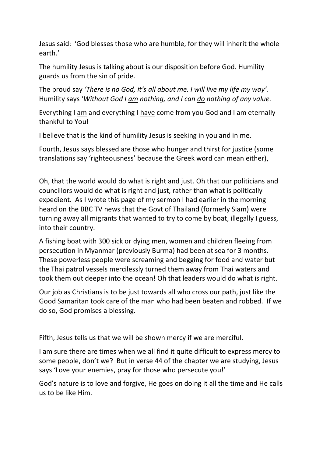Jesus said: 'God blesses those who are humble, for they will inherit the whole earth.'

The humility Jesus is talking about is our disposition before God. Humility guards us from the sin of pride.

The proud say *'There is no God, it's all about me. I will live my life my way'.* Humility says '*Without God I am nothing, and I can do nothing of any value.*

Everything I am and everything I have come from you God and I am eternally thankful to You!

I believe that is the kind of humility Jesus is seeking in you and in me.

Fourth, Jesus says blessed are those who hunger and thirst for justice (some translations say 'righteousness' because the Greek word can mean either),

Oh, that the world would do what is right and just. Oh that our politicians and councillors would do what is right and just, rather than what is politically expedient. As I wrote this page of my sermon I had earlier in the morning heard on the BBC TV news that the Govt of Thailand (formerly Siam) were turning away all migrants that wanted to try to come by boat, illegally I guess, into their country.

A fishing boat with 300 sick or dying men, women and children fleeing from persecution in Myanmar (previously Burma) had been at sea for 3 months. These powerless people were screaming and begging for food and water but the Thai patrol vessels mercilessly turned them away from Thai waters and took them out deeper into the ocean! Oh that leaders would do what is right.

Our job as Christians is to be just towards all who cross our path, just like the Good Samaritan took care of the man who had been beaten and robbed. If we do so, God promises a blessing.

Fifth, Jesus tells us that we will be shown mercy if we are merciful.

I am sure there are times when we all find it quite difficult to express mercy to some people, don't we? But in verse 44 of the chapter we are studying, Jesus says 'Love your enemies, pray for those who persecute you!'

God's nature is to love and forgive, He goes on doing it all the time and He calls us to be like Him.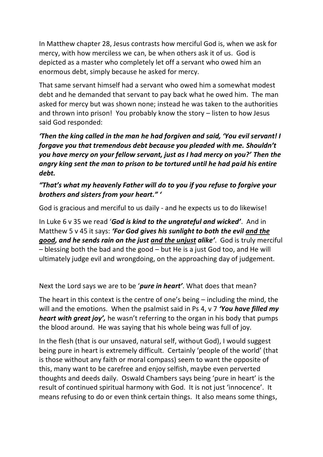In Matthew chapter 28, Jesus contrasts how merciful God is, when we ask for mercy, with how merciless we can, be when others ask it of us. God is depicted as a master who completely let off a servant who owed him an enormous debt, simply because he asked for mercy.

That same servant himself had a servant who owed him a somewhat modest debt and he demanded that servant to pay back what he owed him. The man asked for mercy but was shown none; instead he was taken to the authorities and thrown into prison! You probably know the story – listen to how Jesus said God responded:

*'Then the king called in the man he had forgiven and said, 'You evil servant! I forgave you that tremendous debt because you pleaded with me. Shouldn't you have mercy on your fellow servant, just as I had mercy on you?' Then the angry king sent the man to prison to be tortured until he had paid his entire debt.*

*"That's what my heavenly Father will do to you if you refuse to forgive your brothers and sisters from your heart." '*

God is gracious and merciful to us daily - and he expects us to do likewise!

In Luke 6 v 35 we read '*God is kind to the ungrateful and wicked'*. And in Matthew 5 v 45 it says: *'For God gives his sunlight to both the evil and the good, and he sends rain on the just and the unjust alike'*. God is truly merciful – blessing both the bad and the good – but He is a just God too, and He will ultimately judge evil and wrongdoing, on the approaching day of judgement.

Next the Lord says we are to be '*pure in heart'*. What does that mean?

The heart in this context is the centre of one's being – including the mind, the will and the emotions. When the psalmist said in Ps 4, v 7 *'You have filled my heart with great joy',* he wasn't referring to the organ in his body that pumps the blood around. He was saying that his whole being was full of joy.

In the flesh (that is our unsaved, natural self, without God), I would suggest being pure in heart is extremely difficult. Certainly 'people of the world' (that is those without any faith or moral compass) seem to want the opposite of this, many want to be carefree and enjoy selfish, maybe even perverted thoughts and deeds daily. Oswald Chambers says being 'pure in heart' is the result of continued spiritual harmony with God. It is not just 'innocence'. It means refusing to do or even think certain things. It also means some things,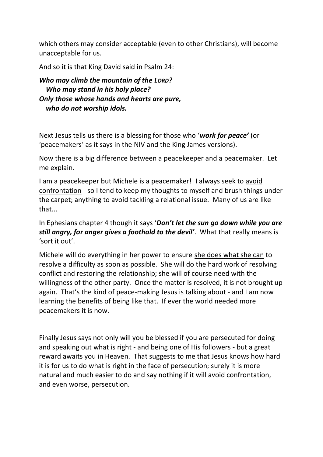which others may consider acceptable (even to other Christians), will become unacceptable for us.

And so it is that King David said in Psalm 24:

*Who may climb the mountain of the LORD? Who may stand in his holy place? Only those whose hands and hearts are pure, who do not worship idols.*

Next Jesus tells us there is a blessing for those who '*work for peace'* (or 'peacemakers' as it says in the NIV and the King James versions).

Now there is a big difference between a peacekeeper and a peacemaker. Let me explain.

I am a peacekeeper but Michele is a peacemaker! **I** always seek to avoid confrontation - so I tend to keep my thoughts to myself and brush things under the carpet; anything to avoid tackling a relational issue. Many of us are like that...

In Ephesians chapter 4 though it says '*Don't let the sun go down while you are still angry, for anger gives a foothold to the devil'*. What that really means is 'sort it out'.

Michele will do everything in her power to ensure she does what she can to resolve a difficulty as soon as possible. She will do the hard work of resolving conflict and restoring the relationship; she will of course need with the willingness of the other party. Once the matter is resolved, it is not brought up again. That's the kind of peace-making Jesus is talking about - and I am now learning the benefits of being like that. If ever the world needed more peacemakers it is now.

Finally Jesus says not only will you be blessed if you are persecuted for doing and speaking out what is right - and being one of His followers - but a great reward awaits you in Heaven. That suggests to me that Jesus knows how hard it is for us to do what is right in the face of persecution; surely it is more natural and much easier to do and say nothing if it will avoid confrontation, and even worse, persecution.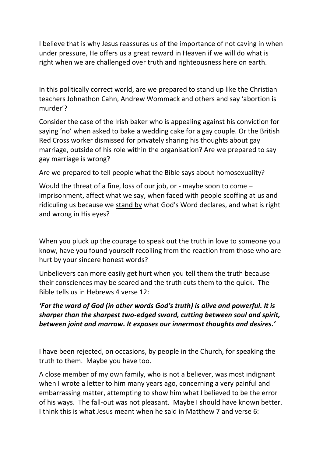I believe that is why Jesus reassures us of the importance of not caving in when under pressure, He offers us a great reward in Heaven if we will do what is right when we are challenged over truth and righteousness here on earth.

In this politically correct world, are we prepared to stand up like the Christian teachers Johnathon Cahn, Andrew Wommack and others and say 'abortion is murder'?

Consider the case of the Irish baker who is appealing against his conviction for saying 'no' when asked to bake a wedding cake for a gay couple. Or the British Red Cross worker dismissed for privately sharing his thoughts about gay marriage, outside of his role within the organisation? Are we prepared to say gay marriage is wrong?

Are we prepared to tell people what the Bible says about homosexuality?

Would the threat of a fine, loss of our job, or - maybe soon to come – imprisonment, affect what we say, when faced with people scoffing at us and ridiculing us because we stand by what God's Word declares, and what is right and wrong in His eyes?

When you pluck up the courage to speak out the truth in love to someone you know, have you found yourself recoiling from the reaction from those who are hurt by your sincere honest words?

Unbelievers can more easily get hurt when you tell them the truth because their consciences may be seared and the truth cuts them to the quick. The Bible tells us in Hebrews 4 verse 12:

## *'For the word of God (in other words God's truth) is alive and powerful. It is sharper than the sharpest two-edged sword, cutting between soul and spirit, between joint and marrow. It exposes our innermost thoughts and desires.'*

I have been rejected, on occasions, by people in the Church, for speaking the truth to them. Maybe you have too.

A close member of my own family, who is not a believer, was most indignant when I wrote a letter to him many years ago, concerning a very painful and embarrassing matter, attempting to show him what I believed to be the error of his ways. The fall-out was not pleasant. Maybe I should have known better. I think this is what Jesus meant when he said in Matthew 7 and verse 6: